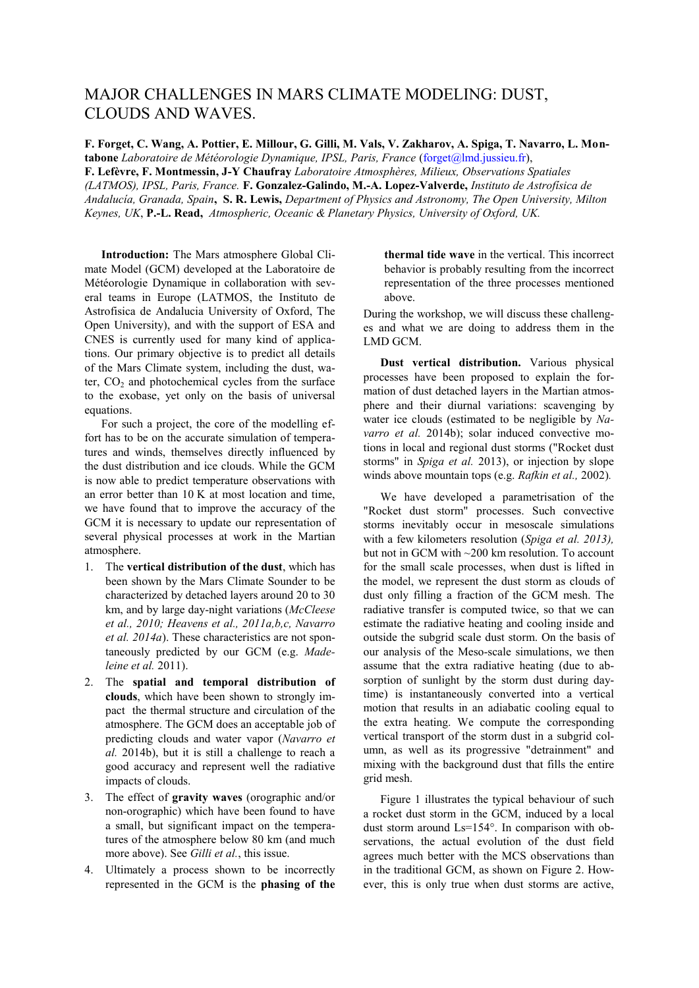## MAJOR CHALLENGES IN MARS CLIMATE MODELING: DUST, CLOUDS AND WAVES.

**F. Forget, C. Wang, A. Pottier, E. Millour, G. Gilli, M. Vals, V. Zakharov, A. Spiga, T. Navarro, L. Montabone** *Laboratoire de Météorologie Dynamique, IPSL, Paris, France* (forget@lmd.jussieu.fr), **F. Lefèvre, F. Montmessin, J-Y Chaufray** *Laboratoire Atmosphères, Milieux, Observations Spatiales (LATMOS), IPSL, Paris, France.* **F. Gonzalez-Galindo, M.-A. Lopez-Valverde,** *Instituto de Astrofísica de Andalucía, Granada, Spain***, S. R. Lewis,** *Department of Physics and Astronomy, The Open University, Milton Keynes, UK*, **P.-L. Read,** *Atmospheric, Oceanic & Planetary Physics, University of Oxford, UK.*

**Introduction:** The Mars atmosphere Global Climate Model (GCM) developed at the Laboratoire de Météorologie Dynamique in collaboration with several teams in Europe (LATMOS, the Instituto de Astrofisica de Andalucia University of Oxford, The Open University), and with the support of ESA and CNES is currently used for many kind of applications. Our primary objective is to predict all details of the Mars Climate system, including the dust, water,  $CO<sub>2</sub>$  and photochemical cycles from the surface to the exobase, yet only on the basis of universal equations.

For such a project, the core of the modelling effort has to be on the accurate simulation of temperatures and winds, themselves directly influenced by the dust distribution and ice clouds. While the GCM is now able to predict temperature observations with an error better than 10 K at most location and time, we have found that to improve the accuracy of the GCM it is necessary to update our representation of several physical processes at work in the Martian atmosphere.

- 1. The **vertical distribution of the dust**, which has been shown by the Mars Climate Sounder to be characterized by detached layers around 20 to 30 km, and by large day-night variations (*McCleese et al., 2010; Heavens et al., 2011a,b,c, Navarro et al. 2014a*). These characteristics are not spontaneously predicted by our GCM (e.g. *Madeleine et al.* 2011).
- 2. The **spatial and temporal distribution of clouds**, which have been shown to strongly impact the thermal structure and circulation of the atmosphere. The GCM does an acceptable job of predicting clouds and water vapor (*Navarro et al.* 2014b), but it is still a challenge to reach a good accuracy and represent well the radiative impacts of clouds.
- 3. The effect of **gravity waves** (orographic and/or non-orographic) which have been found to have a small, but significant impact on the temperatures of the atmosphere below 80 km (and much more above). See *Gilli et al.*, this issue.
- 4. Ultimately a process shown to be incorrectly represented in the GCM is the **phasing of the**

**thermal tide wave** in the vertical. This incorrect behavior is probably resulting from the incorrect representation of the three processes mentioned above.

During the workshop, we will discuss these challenges and what we are doing to address them in the LMD GCM.

**Dust vertical distribution.** Various physical processes have been proposed to explain the formation of dust detached layers in the Martian atmosphere and their diurnal variations: scavenging by water ice clouds (estimated to be negligible by *Navarro et al.* 2014b); solar induced convective motions in local and regional dust storms ("Rocket dust storms" in *Spiga et al.* 2013), or injection by slope winds above mountain tops (e.g. *Rafkin et al.,* 2002)*.*

We have developed a parametrisation of the "Rocket dust storm" processes. Such convective storms inevitably occur in mesoscale simulations with a few kilometers resolution (*Spiga et al. 2013),*  but not in GCM with ~200 km resolution. To account for the small scale processes, when dust is lifted in the model, we represent the dust storm as clouds of dust only filling a fraction of the GCM mesh. The radiative transfer is computed twice, so that we can estimate the radiative heating and cooling inside and outside the subgrid scale dust storm. On the basis of our analysis of the Meso-scale simulations, we then assume that the extra radiative heating (due to absorption of sunlight by the storm dust during daytime) is instantaneously converted into a vertical motion that results in an adiabatic cooling equal to the extra heating. We compute the corresponding vertical transport of the storm dust in a subgrid column, as well as its progressive "detrainment" and mixing with the background dust that fills the entire grid mesh.

Figure 1 illustrates the typical behaviour of such a rocket dust storm in the GCM, induced by a local dust storm around Ls=154°. In comparison with observations, the actual evolution of the dust field agrees much better with the MCS observations than in the traditional GCM, as shown on Figure 2. However, this is only true when dust storms are active,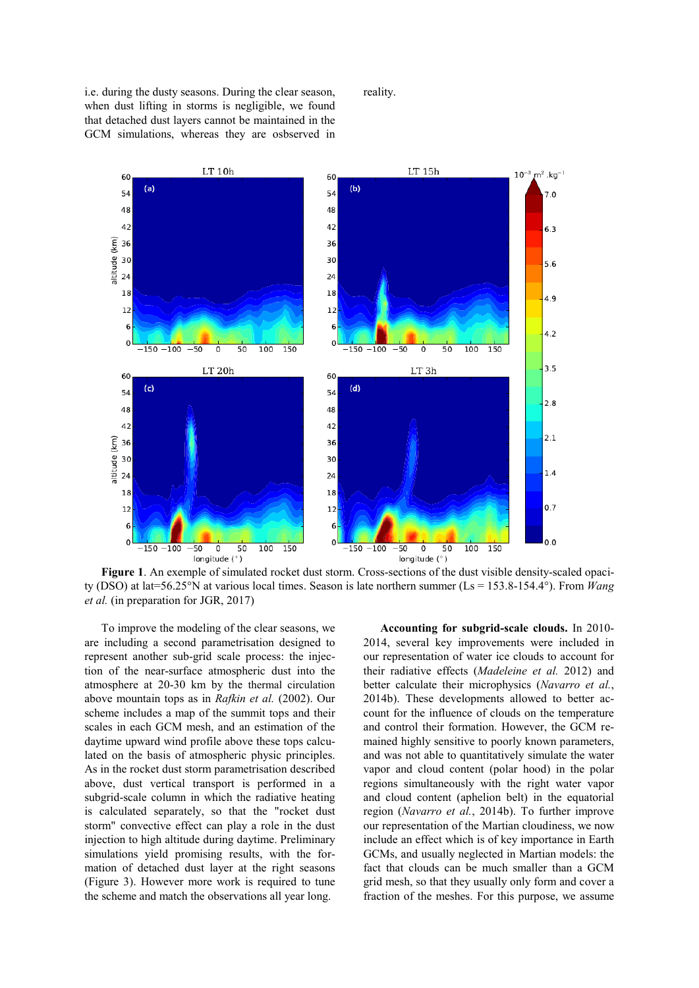i.e. during the dusty seasons. During the clear season, when dust lifting in storms is negligible, we found that detached dust layers cannot be maintained in the GCM simulations, whereas they are osbserved in reality.



**Figure 1**. An exemple of simulated rocket dust storm. Cross-sections of the dust visible density-scaled opacity (DSO) at lat=56.25°N at various local times. Season is late northern summer (Ls = 153.8-154.4°). From *Wang et al.* (in preparation for JGR, 2017)

To improve the modeling of the clear seasons, we are including a second parametrisation designed to represent another sub-grid scale process: the injection of the near-surface atmospheric dust into the atmosphere at 20-30 km by the thermal circulation above mountain tops as in *Rafkin et al.* (2002). Our scheme includes a map of the summit tops and their scales in each GCM mesh, and an estimation of the daytime upward wind profile above these tops calculated on the basis of atmospheric physic principles. As in the rocket dust storm parametrisation described above, dust vertical transport is performed in a subgrid-scale column in which the radiative heating is calculated separately, so that the "rocket dust storm" convective effect can play a role in the dust injection to high altitude during daytime. Preliminary simulations yield promising results, with the formation of detached dust layer at the right seasons (Figure 3). However more work is required to tune the scheme and match the observations all year long.

**Accounting for subgrid-scale clouds.** In 2010- 2014, several key improvements were included in our representation of water ice clouds to account for their radiative effects (*Madeleine et al.* 2012) and better calculate their microphysics (*Navarro et al.*, 2014b). These developments allowed to better account for the influence of clouds on the temperature and control their formation. However, the GCM remained highly sensitive to poorly known parameters, and was not able to quantitatively simulate the water vapor and cloud content (polar hood) in the polar regions simultaneously with the right water vapor and cloud content (aphelion belt) in the equatorial region (*Navarro et al.*, 2014b). To further improve our representation of the Martian cloudiness, we now include an effect which is of key importance in Earth GCMs, and usually neglected in Martian models: the fact that clouds can be much smaller than a GCM grid mesh, so that they usually only form and cover a fraction of the meshes. For this purpose, we assume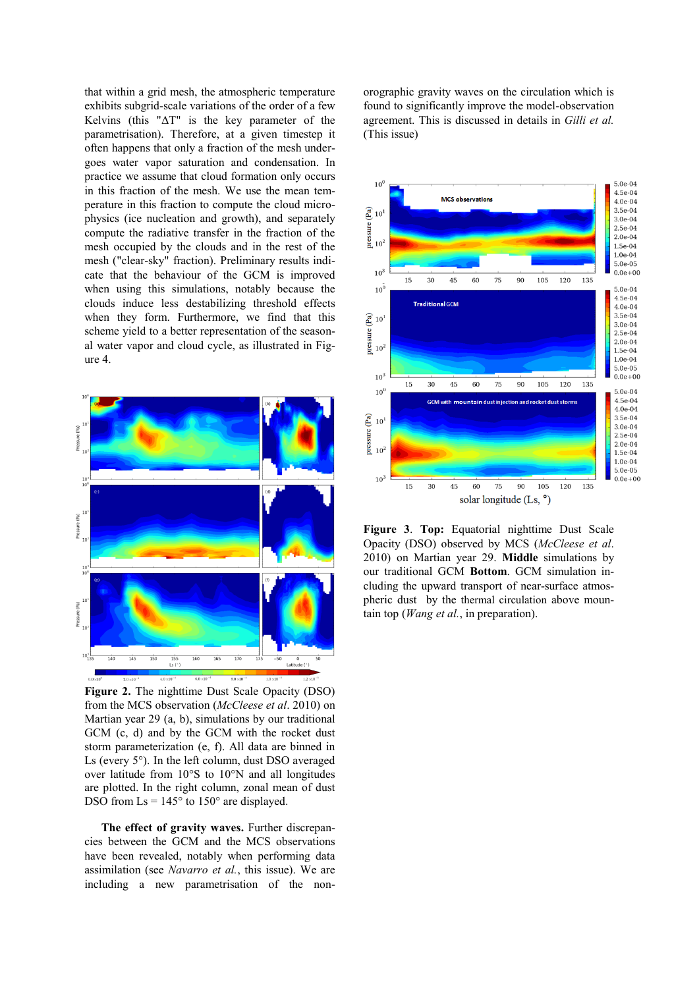that within a grid mesh, the atmospheric temperature exhibits subgrid-scale variations of the order of a few Kelvins (this "ΔT" is the key parameter of the parametrisation). Therefore, at a given timestep it often happens that only a fraction of the mesh undergoes water vapor saturation and condensation. In practice we assume that cloud formation only occurs in this fraction of the mesh. We use the mean temperature in this fraction to compute the cloud microphysics (ice nucleation and growth), and separately compute the radiative transfer in the fraction of the mesh occupied by the clouds and in the rest of the mesh ("clear-sky" fraction). Preliminary results indicate that the behaviour of the GCM is improved when using this simulations, notably because the clouds induce less destabilizing threshold effects when they form. Furthermore, we find that this scheme yield to a better representation of the seasonal water vapor and cloud cycle, as illustrated in Figure 4.



**Figure 2.** The nighttime Dust Scale Opacity (DSO) from the MCS observation (*McCleese et al*. 2010) on Martian year 29 (a, b), simulations by our traditional GCM (c, d) and by the GCM with the rocket dust storm parameterization (e, f). All data are binned in Ls (every 5°). In the left column, dust DSO averaged over latitude from 10°S to 10°N and all longitudes are plotted. In the right column, zonal mean of dust DSO from  $\text{Ls} = 145^\circ$  to 150° are displayed.

**The effect of gravity waves.** Further discrepancies between the GCM and the MCS observations have been revealed, notably when performing data assimilation (see *Navarro et al.*, this issue). We are including a new parametrisation of the nonorographic gravity waves on the circulation which is found to significantly improve the model-observation agreement. This is discussed in details in *Gilli et al.* (This issue)



**Figure 3**. **Top:** Equatorial nighttime Dust Scale Opacity (DSO) observed by MCS (*McCleese et al*. 2010) on Martian year 29. **Middle** simulations by our traditional GCM **Bottom**. GCM simulation including the upward transport of near-surface atmospheric dust by the thermal circulation above mountain top (*Wang et al.*, in preparation).